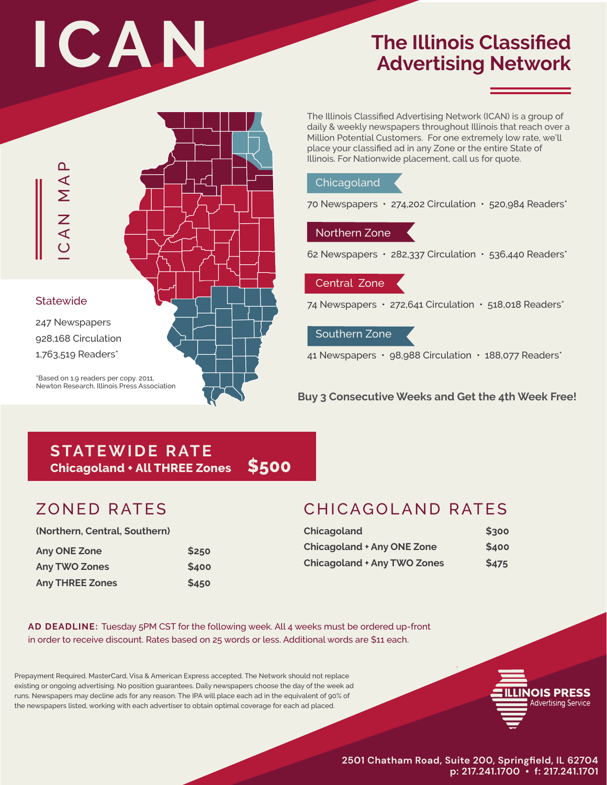# **ICAN Advertising Network**



The Illinois Classified Advertising Network (ICAN) is a group of daily & weekly newspapers throughout Illinois that reach over a Million Potential Customers. For one extremely low rate, we'll place your classified ad in any Zone or the entire State of Illinois. For Nationwide placement, call us for quote.

## **Chicagoland**

70 Newspapers • 274,202 Circulation • 520,984 Readers\*

## Northern Zone

62 Newspapers • 282,337 Circulation • 536,440 Readers\*

#### Central Zone

74 Newspapers • 272,641 Circulation • 518,018 Readers\*

### Southern Zone

41 Newspapers • 98,988 Circulation • 188,077 Readers\*

**Buy 3 Consecutive Weeks and Get the 4th Week Free!**

## **STATEWIDE RATE Chicagoland + All THREE Zones \$500**

## ZONED RATES

**(Northern, Central, Southern)**

| <b>Any ONE Zone</b>    | \$250 |
|------------------------|-------|
| <b>Any TWO Zones</b>   | \$400 |
| <b>Any THREE Zones</b> | \$450 |

## CHICAGOLAND RATES

| <b>Chicagoland</b>                 | \$300 |
|------------------------------------|-------|
| <b>Chicagoland + Any ONE Zone</b>  | \$400 |
| <b>Chicagoland + Any TWO Zones</b> | \$475 |

AD DEADLINE: Tuesday 5PM CST for the following week. All 4 weeks must be ordered up-front in order to receive discount. Rates based on 25 words or less. Additional words are \$11 each.

Prepayment Required. MasterCard, Visa & American Express accepted. The Network should not replace existing or ongoing advertising. No position guarantees. Daily newspapers choose the day of the week ad runs. Newspapers may decline ads for any reason. The IPA will place each ad in the equivalent of 90% of the newspapers listed, working with each advertiser to obtain optimal coverage for each ad placed.



**2501 Chatham Road, Suite 200, Springfield, IL 62704 p: 217.241.1700 • f: 217.241.1701**